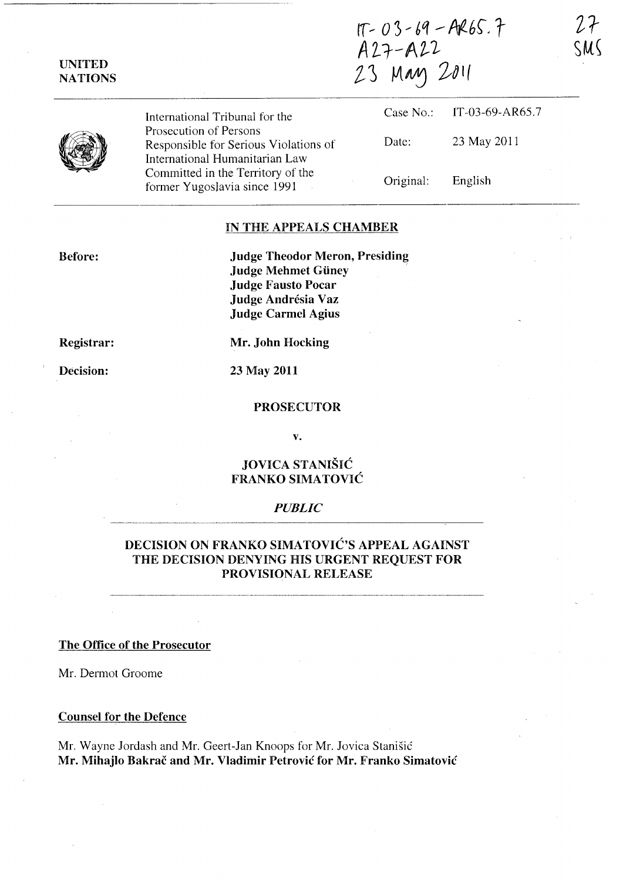| <b>UNITED</b><br><b>NATIONS</b> | $1T - 03 - 69 - AR65.7$<br>A27-A22<br>23 May 2011                                                 |           | SM              |  |
|---------------------------------|---------------------------------------------------------------------------------------------------|-----------|-----------------|--|
|                                 | International Tribunal for the                                                                    | Case No.: | IT-03-69-AR65.7 |  |
|                                 | Prosecution of Persons<br>Responsible for Serious Violations of<br>International Humanitarian Law | Date:     | 23 May 2011     |  |
|                                 | Committed in the Territory of the<br>former Yugoslavia since 1991                                 | Original: | English         |  |

### IN THE APPEALS CHAMBER

Judge Theodor Meron, Presiding Judge Mehmet Güney Judge Fausto Pocar Judge Andrésia Vaz Judge Carmel Agius

Registrar:

Before:

Decision:

23 May 2011

Mr. John Hocking

#### PROSECUTOR

v.

## JOVICA STANIŠIĆ FRANKO SIMATOVIC

### *PUBLIC*

## DECISION ON FRANKO SIMATOVIĆ'S APPEAL AGAINST THE DECISION DENYING HIS URGENT REQUEST FOR PROVISIONAL RELEASE

### The Office of the Prosecutor

Mr. Dermot Groome

### Counsel for the Defence

Mr. Wayne Jordash and Mr. Geert-Jan Knoops for Mr. Jovica Stanisic Mr. Mihajlo Bakrač and Mr. Vladimir Petrović for Mr. Franko Simatović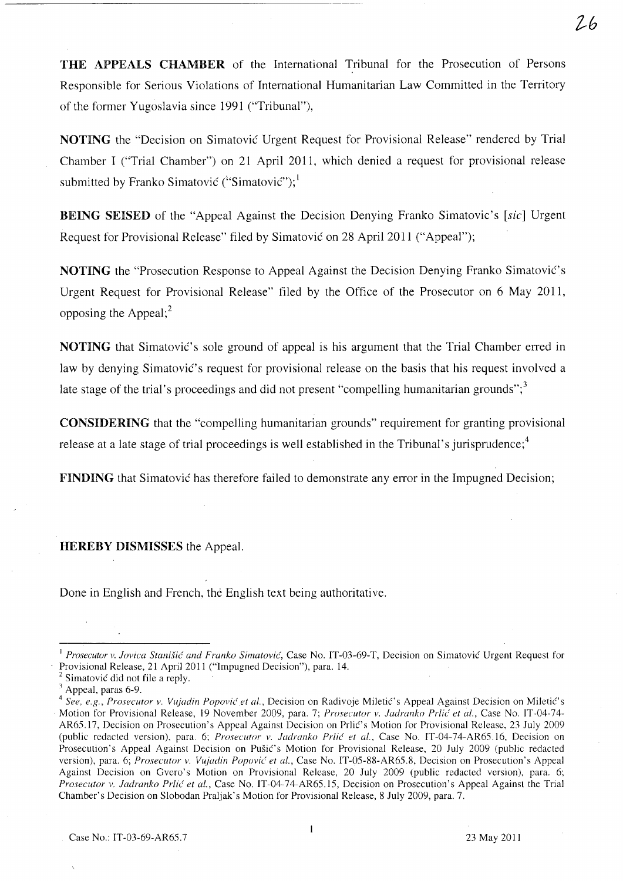THE APPEALS CHAMBER of the International Tribunal for the Prosecution of Persons Responsible for Serious Violations of International Humanitarian Law Committed in the Territory of the former Yugoslavia since 1991 ("Tribunal"),

NOTING the "Decision on Simatovic Urgent Request for Provisional Release" rendered by Trial Chamber I ("Trial Chamber") on 21 April 2011, which denied a request for provisional release submitted by Franko Simatović ("Simatović");  $\frac{1}{2}$ 

BEING SEISED of the "Appeal Against the Decision Denying Franko Simatovic's [sic] Urgent Request for Provisional Release" filed by Simatovic on 28 April 2011 ("Appeal");

NOTING the "Prosecution Response to Appeal Against the Decision Denying Franko Simatovic's Urgent Request for Provisional Release" filed by the Office of the Prosecutor on 6 May 2011, opposing the Appeal; $<sup>2</sup>$ </sup>

NOTING that Simatovic's sole ground of appeal is his argument that the Trial Chamber erred in law by denying Simatović's request for provisional release on the basis that his request involved a late stage of the trial's proceedings and did not present "compelling humanitarian grounds"; $3$ 

CONSIDERING that the "compelling humanitarian grounds" requirement for granting provisional release at a late stage of trial proceedings is well established in the Tribunal's jurisprudence;<sup>4</sup>

FINDING that Simatovic has therefore failed to demonstrate any error in the Impugned Decision;

HEREBY DISMISSES the Appeal.

Done in English and French, the English text being authoritative.

 $2h$ 

<sup>I</sup>*Prosecutor v. lovica Stani§ic' and Franko Simatovic',* Case No. IT-03-69-T, Decision on Simatovic Urgent Request for Provisional Release, 21 April 2011 ("Impugned Decision"), para. 14.

Simatović did not file a reply.

 $3$  Appeal, paras 6-9.

<sup>&</sup>lt;sup>4</sup> See, e.g., Prosecutor v. Vujadin Popović et al., Decision on Radivoje Miletić's Appeal Against Decision on Miletić's Motion for Provisional Release, 19 November 2009, para. 7; *Prosecutor v. ladranko Prlic' et al.,* Case No. IT-04-74- AR65.17, Decision on Prosecution's Appeal Against Decision on Prlic's Motion for Provisional Release, 23 July 2009 (public redacted version), para. 6; *Prosecutor v. ladranko Prlic' et al.,* Case No. IT -04-74-AR6S.16, Decision on Prosecution's Appeal Against Decision on Pušić's Motion for Provisional Release, 20 July 2009 (public redacted version), para. 6; *Prosecutor v. Vujadin Popović et al.*, Case No. IT-05-88-AR65.8, Decision on Prosecution's Appeal Against Decision on Gvero's Motion on Provisional Release, 20 July 2009 (public redacted version), para. 6; *Prosecutor v. ladranko Prlie' et aI.,* Case No. IT-04-74-AR65.IS, Decision on Prosecution's Appeal Against the Trial Chamber's Decision on Slobodan Praljak's Motion for Provisional Release, 8 July 2009, para. 7.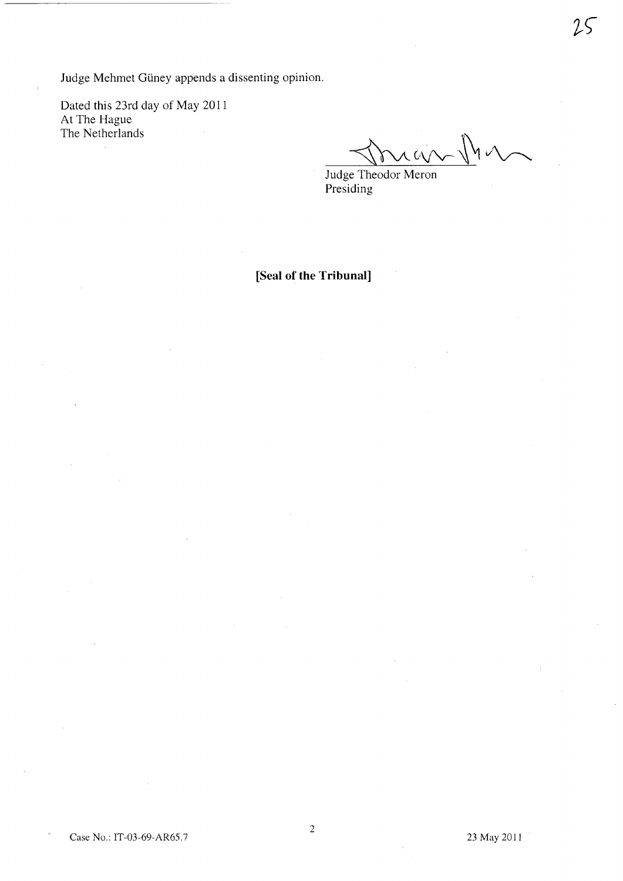Judge Mehmet Güney appends a dissenting opinion.

Dated this 23rd day of May 2011 At The Hague The Netherlands

 $\alpha$ an  $\mathbb N$ v

Judge Theodor Meron Presiding

**[Seal of the Tribunal]**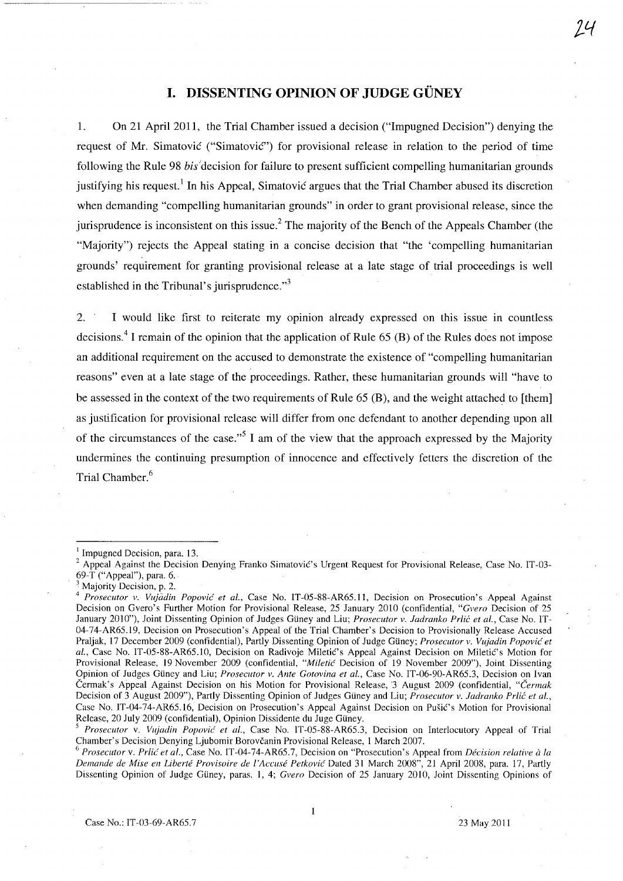# **I. DISSENTING OPINION OF JUDGE GUNEY**

1. On 21 April 2011, the Trial Chamber issued a decision ("Impugned Decision") denying the request of Mr. Simatovic ("Simatovic") for provisional release in relation to the period of time following the Rule 98 bis decision for failure to present sufficient compelling humanitarian grounds justifying his request.<sup>1</sup> In his Appeal, Simatovic argues that the Trial Chamber abused its discretion when demanding "compelling humanitarian grounds" in order to grant provisional release, since the jurisprudence is inconsistent on this issue? The majority of the Bench of the Appeals Chamber (the "Majority") rejects the Appeal stating in a concise decision that "the 'compelling humanitarian grounds' requirement for granting provisional release at a late stage of trial proceedings is well established in the Tribunal's jurisprudence. $\mathbf{r}^3$ 

2. I would like first to reiterate my opinion already expressed on this issue in countless decisions.<sup>4</sup> I remain of the opinion that the application of Rule  $(5 \text{ } (B)$  of the Rules does not impose an additional requirement on the accused to demonstrate the existence of "compelling humanitarian reasons" even at a late stage of the proceedings. Rather, these humanitarian grounds will "have to be assessed in the context of the two requirements of Rule 65 (B), and the weight attached to [them] as justification for provisional release will differ from one defendant to another depending upon all of the circumstances of the case."<sup>5</sup> I am of the view that the approach expressed by the Majority undermines the continuing presumption of innocence and effectively fetters the discretion of the Trial Chamber.<sup>6</sup>

*lJ{* 

<sup>1</sup>Impugned Decision, para. 13.

<sup>&</sup>lt;sup>2</sup> Appeal Against the Decision Denying Franko Simatovic's Urgent Request for Provisional Release, Case No. IT-03-69-T ("Appeal"), para. 6.

<sup>&</sup>lt;sup>3</sup> Majority Decision, p. 2.

*<sup>4</sup> Prosecutor* v. *Vujadin Popovic et aI.,* Case No. IT -05-88-AR65.11, Decision on Prosecution's Appeal Against Decision on Gvero's Further Motion for Provisional Release, 25 January 2010 (confidential, *"Cvero* Decision of 25 January 2010"), Joint Dissenting Opinion of Judges Güney and Liu; *Prosecutor v. Jadranko Prlić et al.*, Case No. IT-04-74-AR65.19, Decision on Prosecution's Appeal of the Trial Chamber's Decision to Provisionally Release Accused Praljak, 17 December 2009 (confidential), Partly Dissenting Opinion of Judge Güney; *Prosecutor v. Vujadin Popović et* al., Case No. IT-05-88-AR65.10, Decision on Radivoje Miletić's Appeal Against Decision on Miletić's Motion for Provisional Release, 19 November 2009 (confidential, "Miletic Decision of 19 November 2009"), Joint Dissenting Opinion of Judges GUney and Liu; *Prosecutor v. Ante Cotovina et aI.,* Case No. IT-06-90-AR65.3, Decision on Ivan Cermak's Appeal Against Decision on his Motion for Provisional Release, J August 2009 (confidential, *"Cermak*  Decision of 3 August 2009"), Partly Dissenting Opinion of Judges Güney and Liu; *Prosecutor v. Jadranko Prlić et al.*, Case No. IT-04-74-AR65.16, Decision on Prosecution's Appeal Against Decision on Pusic's Motion for Provisional Release, 20 July 2009 (confidential), Opinion Dissidente du Juge Güney.

*<sup>5</sup> Prosecutor* v. *Vujadin Popovic et aI.,* Case No. IT -05-88-AR65.3, Decision on Interlocutory Appeal of Trial Chamber's Decision Denying Ljubomir Borovcanin Provisional Release, 1 March 2007.

*<sup>6</sup> Prosecutor* v. *PrUc et 01.,* Case No. IT -04-74-AR65.7, Decision on "Prosecution's Appeal from *Decision relative a 10*  Demande de Mise en Liberté Provisoire de l'Accusé Petković Dated 31 March 2008", 21 April 2008, para. 17, Partly Dissenting Opinion of Judge Güney, paras. 1, 4; *Gvero* Decision of 25 January 2010, Joint Dissenting Opinions of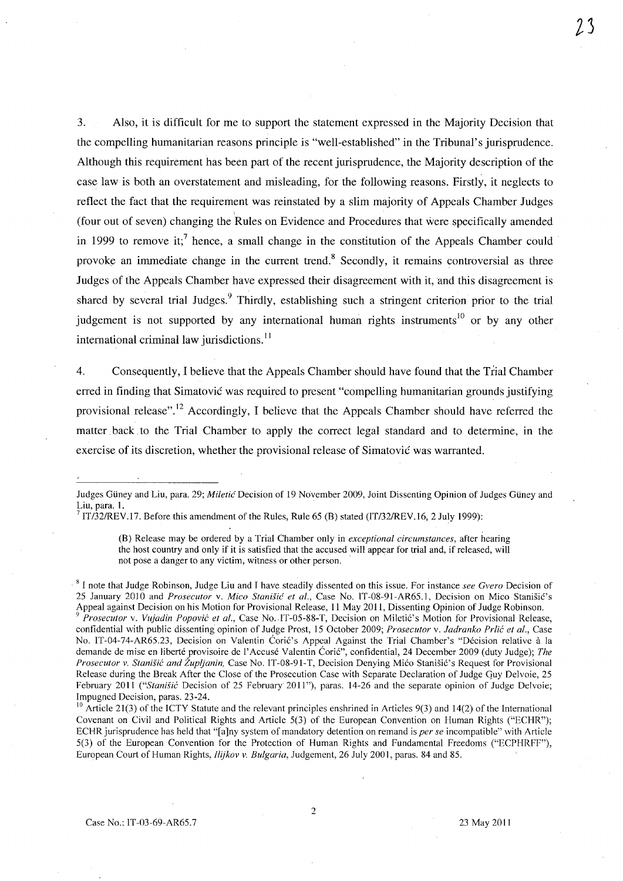3. Also, it is difficult for me to support the statement expressed in the Majority Decision that the compelling humanitarian reasons principle is "well-established" in the Tribunal's jurisprudence. Although this requirement has been part of the recent jurisprudence, the Majority description of the case law is both an overstatement and misleading, for the following reasons. Firstly, it neglects to reflect the fact that the requirement was reinstated by a slim majority of Appeals Chamber Judges (four out of seven) changing the Rules on Evidence and Procedures that were specifically amended in 1999 to remove it;<sup>7</sup> hence, a small change in the constitution of the Appeals Chamber could provoke an immediate change in the current trend.<sup>8</sup> Secondly, it remains controversial as three Judges of the Appeals Chamber have expressed their disagreement with it, and this disagreement is shared by several trial Judges.<sup>9</sup> Thirdly, establishing such a stringent criterion prior to the trial judgement is not supported by any international human rights instruments<sup>10</sup> or by any other international criminal law jurisdictions. $^{11}$ 

4. Consequently, I believe that the Appeals Chamber should have found that the Trial Chamber erred in finding that Simatovic was required to present "compelling humanitarian grounds justifying provisional release".12 Accordingly, I believe that the Appeals Chamber should have referred the matter. back. to the Trial Chamber to apply the correct legal standard and to determine, in the exercise of its discretion, whether the provisional release of Simatovic was warranted.

(B) Release may be ordered by a Trial Chamber only in *exceptional circumstances,* after hearing the host country and only if it is satisfied that the accused will appear for trial and, if released, will not pose a danger to any victim, witness or other person.

2

Judges Guney and Liu, para. 29; *Miletic* Decision of 19 November 2009, Joint Dissenting Opinion of Judges Guney and Liu, para. 1.

 $7$  IT/32/REV.17. Before this amendment of the Rules, Rule 65 (B) stated (IT/32/REV.16, 2 July 1999):

<sup>8</sup> I note that Judge Robinson, Judge Liu and I have steadily dissented on this issue. For instance *see Gvero* Decision of 25 January 2010 and *Prosecutor v. Mico Stanišić et al.*, Case No. IT-08-91-AR65.1, Decision on Mico Stanišić's Appeal against Decision on his Motion for Provisional Release, 11 May 2011, Dissenting Opinion of Judge Robinson. *Prosecutor v. Vujadin Popović et al., Case No. IT-05-88-T, Decision on Miletić's Motion for Provisional Release,* confidential with public dissenting· opinion of Judge Prost, 15 October 2009; *Prosecutor* v. *ladranko Prlic et al.,* Case No. IT-04-74-AR65.23, Decision on Valentin Coric's Appeal Against the Trial Chamber's "Décision relative à la demande de mise en liberte provisoire de I'Accuse Valentin CoriC", confidential, 24 December 2009 (duty Judge); *The Prosecutor* v. *Stanisic and Zupljanin,* Case No. IT-08-91-T, Decision Denying Mico Stanisic's Request for Provisional Release during the Break After the Close of the Prosecution Case with Separate Declaration of Judge Quy Delvoie, 25 February 2011 *("Stanišić Decision of 25 February 2011"*), paras. 14-26 and the separate opinion of Judge Delvoie; Impugned Decision, paras. 23-24.

 $10$  Article 21(3) of the ICTY Statute and the relevant principles enshrined in Articles 9(3) and 14(2) of the International Covenant on Civil and Political Rights and Article 5(3) of the European Convention on Human Rights ("ECHR"); ECHRjurisprudence has held that "[a]ny system of mandatory detention on remand is *per se* incompatible" with Article 5(3) of the European Convention for the Protection of Human Rights and Fundamental Freedoms ("ECPHRFF"), European Court of Human Rights, *Ilijkov* v. *Bulgaria,* Judgement, 26 July 2001, paras. 84 and 85.